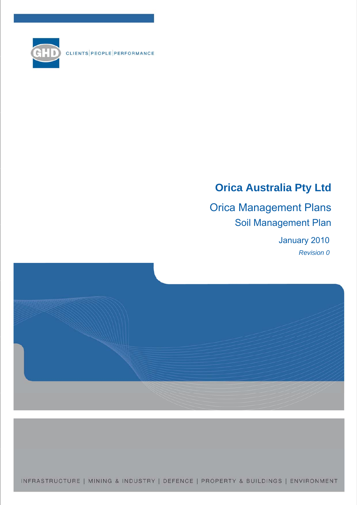

CLIENTS PEOPLE PERFORMANCE

# **Orica Australia Pty Ltd**

Orica Management Plans Soil Management Plan

> January 2010 *Revision 0*



INFRASTRUCTURE | MINING & INDUSTRY | DEFENCE | PROPERTY & BUILDINGS | ENVIRONMENT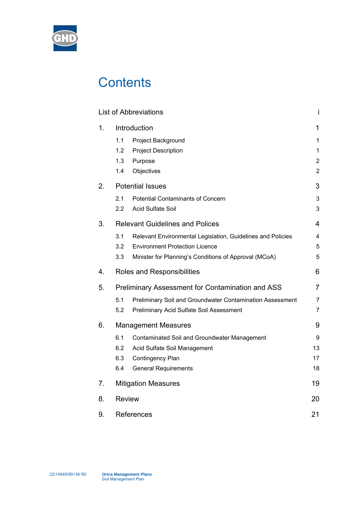

# **Contents**

|    |               | <b>List of Abbreviations</b>                                |                |
|----|---------------|-------------------------------------------------------------|----------------|
| 1. |               | Introduction                                                | 1              |
|    | 1.1           | Project Background                                          | 1              |
|    | 1.2           | <b>Project Description</b>                                  | 1              |
|    | 1.3           | Purpose                                                     | $\overline{2}$ |
|    | 1.4           | Objectives                                                  | $\overline{2}$ |
| 2. |               | <b>Potential Issues</b>                                     | 3              |
|    | 2.1           | <b>Potential Contaminants of Concern</b>                    | 3              |
|    | $2.2\,$       | <b>Acid Sulfate Soil</b>                                    | 3              |
| 3. |               | <b>Relevant Guidelines and Polices</b>                      | 4              |
|    | 3.1           | Relevant Environmental Legislation, Guidelines and Policies | 4              |
|    | $3.2\,$       | <b>Environment Protection Licence</b>                       | 5              |
|    | 3.3           | Minister for Planning's Conditions of Approval (MCoA)       | 5              |
| 4. |               | Roles and Responsibilities                                  | 6              |
| 5. |               | <b>Preliminary Assessment for Contamination and ASS</b>     | 7              |
|    | 5.1           | Preliminary Soil and Groundwater Contamination Assessment   | $\overline{7}$ |
|    | 5.2           | Preliminary Acid Sulfate Soil Assessment                    | $\overline{7}$ |
| 6. |               | <b>Management Measures</b>                                  | 9              |
|    | 6.1           | Contaminated Soil and Groundwater Management                | 9              |
|    | 6.2           | Acid Sulfate Soil Management                                | 13             |
|    | 6.3           | Contingency Plan                                            | 17             |
|    | 6.4           | <b>General Requirements</b>                                 | 18             |
| 7. |               | <b>Mitigation Measures</b>                                  | 19             |
| 8. | <b>Review</b> |                                                             | 20             |
| 9. |               | References                                                  | 21             |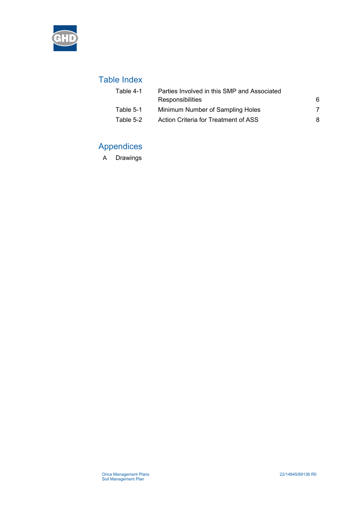

# Table Index

| Table 4-1 | Parties Involved in this SMP and Associated |   |  |
|-----------|---------------------------------------------|---|--|
|           | Responsibilities                            | 6 |  |
| Table 5-1 | Minimum Number of Sampling Holes            |   |  |
| Table 5-2 | Action Criteria for Treatment of ASS        |   |  |

# Appendices

A Drawings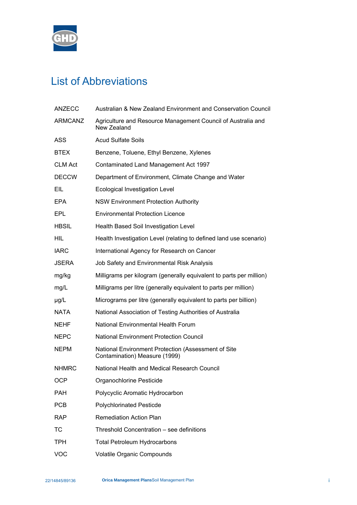<span id="page-3-0"></span>

# List of Abbreviations

| <b>ANZECC</b>  | Australian & New Zealand Environment and Conservation Council                        |
|----------------|--------------------------------------------------------------------------------------|
| <b>ARMCANZ</b> | Agriculture and Resource Management Council of Australia and<br>New Zealand          |
| ASS            | <b>Acud Sulfate Soils</b>                                                            |
| <b>BTEX</b>    | Benzene, Toluene, Ethyl Benzene, Xylenes                                             |
| <b>CLM Act</b> | Contaminated Land Management Act 1997                                                |
| <b>DECCW</b>   | Department of Environment, Climate Change and Water                                  |
| EIL            | <b>Ecological Investigation Level</b>                                                |
| <b>EPA</b>     | <b>NSW Environment Protection Authority</b>                                          |
| EPL            | <b>Environmental Protection Licence</b>                                              |
| <b>HBSIL</b>   | Health Based Soil Investigation Level                                                |
| HIL            | Health Investigation Level (relating to defined land use scenario)                   |
| <b>IARC</b>    | International Agency for Research on Cancer                                          |
| <b>JSERA</b>   | Job Safety and Environmental Risk Analysis                                           |
| mg/kg          | Milligrams per kilogram (generally equivalent to parts per million)                  |
| mg/L           | Milligrams per litre (generally equivalent to parts per million)                     |
| $\mu$ g/L      | Micrograms per litre (generally equivalent to parts per billion)                     |
| NATA           | National Association of Testing Authorities of Australia                             |
| <b>NEHF</b>    | National Environmental Health Forum                                                  |
| <b>NEPC</b>    | <b>National Environment Protection Council</b>                                       |
| <b>NEPM</b>    | National Environment Protection (Assessment of Site<br>Contamination) Measure (1999) |
| <b>NHMRC</b>   | National Health and Medical Research Council                                         |
| <b>OCP</b>     | Organochlorine Pesticide                                                             |
| <b>PAH</b>     | Polycyclic Aromatic Hydrocarbon                                                      |
| <b>PCB</b>     | <b>Polychlorinated Pesticde</b>                                                      |
| <b>RAP</b>     | <b>Remediation Action Plan</b>                                                       |
| <b>TC</b>      | Threshold Concentration - see definitions                                            |
| <b>TPH</b>     | <b>Total Petroleum Hydrocarbons</b>                                                  |
| <b>VOC</b>     | Volatile Organic Compounds                                                           |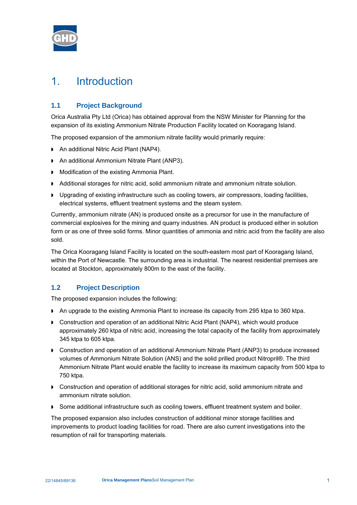<span id="page-4-0"></span>

# 1. Introduction

# **1.1 Project Background**

Orica Australia Pty Ltd (Orica) has obtained approval from the NSW Minister for Planning for the expansion of its existing Ammonium Nitrate Production Facility located on Kooragang Island.

The proposed expansion of the ammonium nitrate facility would primarily require:

- ▶ An additional Nitric Acid Plant (NAP4).
- ▶ An additional Ammonium Nitrate Plant (ANP3).
- **Modification of the existing Ammonia Plant.**
- Additional storages for nitric acid, solid ammonium nitrate and ammonium nitrate solution.
- Upgrading of existing infrastructure such as cooling towers, air compressors, loading facilities, electrical systems, effluent treatment systems and the steam system.

Currently, ammonium nitrate (AN) is produced onsite as a precursor for use in the manufacture of commercial explosives for the mining and quarry industries. AN product is produced either in solution form or as one of three solid forms. Minor quantities of ammonia and nitric acid from the facility are also sold.

The Orica Kooragang Island Facility is located on the south-eastern most part of Kooragang Island, within the Port of Newcastle. The surrounding area is industrial. The nearest residential premises are located at Stockton, approximately 800m to the east of the facility.

# **1.2 Project Description**

The proposed expansion includes the following:

- An upgrade to the existing Ammonia Plant to increase its capacity from 295 ktpa to 360 ktpa.
- Construction and operation of an additional Nitric Acid Plant (NAP4), which would produce approximately 260 ktpa of nitric acid, increasing the total capacity of the facility from approximately 345 ktpa to 605 ktpa.
- Construction and operation of an additional Ammonium Nitrate Plant (ANP3) to produce increased volumes of Ammonium Nitrate Solution (ANS) and the solid prilled product Nitropril®. The third Ammonium Nitrate Plant would enable the facility to increase its maximum capacity from 500 ktpa to 750 ktpa.
- Construction and operation of additional storages for nitric acid, solid ammonium nitrate and ammonium nitrate solution.
- **Some additional infrastructure such as cooling towers, effluent treatment system and boiler.**

The proposed expansion also includes construction of additional minor storage facilities and improvements to product loading facilities for road. There are also current investigations into the resumption of rail for transporting materials.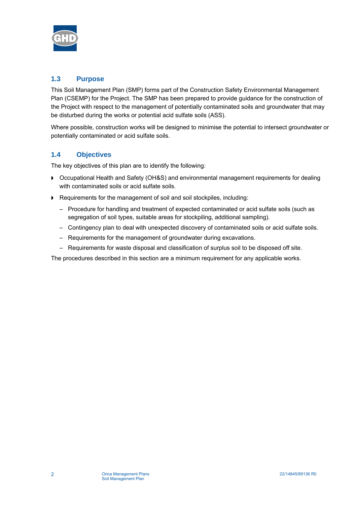<span id="page-5-0"></span>

# **1.3 Purpose**

This Soil Management Plan (SMP) forms part of the Construction Safety Environmental Management Plan (CSEMP) for the Project. The SMP has been prepared to provide guidance for the construction of the Project with respect to the management of potentially contaminated soils and groundwater that may be disturbed during the works or potential acid sulfate soils (ASS).

Where possible, construction works will be designed to minimise the potential to intersect groundwater or potentially contaminated or acid sulfate soils.

# **1.4 Objectives**

The key objectives of this plan are to identify the following:

- Occupational Health and Safety (OH&S) and environmental management requirements for dealing with contaminated soils or acid sulfate soils.
- Requirements for the management of soil and soil stockpiles, including:
	- Procedure for handling and treatment of expected contaminated or acid sulfate soils (such as segregation of soil types, suitable areas for stockpiling, additional sampling).
	- Contingency plan to deal with unexpected discovery of contaminated soils or acid sulfate soils.
	- Requirements for the management of groundwater during excavations.
	- Requirements for waste disposal and classification of surplus soil to be disposed off site.

The procedures described in this section are a minimum requirement for any applicable works.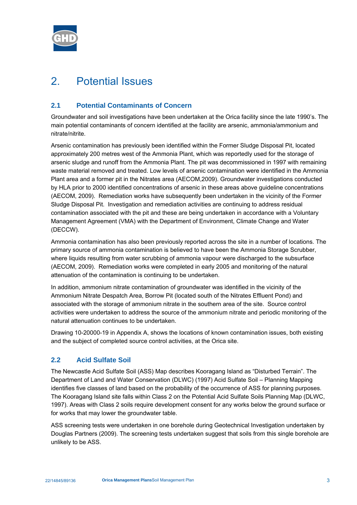<span id="page-6-0"></span>

# 2. Potential Issues

# **2.1 Potential Contaminants of Concern**

Groundwater and soil investigations have been undertaken at the Orica facility since the late 1990's. The main potential contaminants of concern identified at the facility are arsenic, ammonia/ammonium and nitrate/nitrite.

Arsenic contamination has previously been identified within the Former Sludge Disposal Pit, located approximately 200 metres west of the Ammonia Plant, which was reportedly used for the storage of arsenic sludge and runoff from the Ammonia Plant. The pit was decommissioned in 1997 with remaining waste material removed and treated. Low levels of arsenic contamination were identified in the Ammonia Plant area and a former pit in the Nitrates area (AECOM,2009). Groundwater investigations conducted by HLA prior to 2000 identified concentrations of arsenic in these areas above guideline concentrations (AECOM, 2009). Remediation works have subsequently been undertaken in the vicinity of the Former Sludge Disposal Pit. Investigation and remediation activities are continuing to address residual contamination associated with the pit and these are being undertaken in accordance with a Voluntary Management Agreement (VMA) with the Department of Environment, Climate Change and Water (DECCW).

Ammonia contamination has also been previously reported across the site in a number of locations. The primary source of ammonia contamination is believed to have been the Ammonia Storage Scrubber, where liquids resulting from water scrubbing of ammonia vapour were discharged to the subsurface (AECOM, 2009). Remediation works were completed in early 2005 and monitoring of the natural attenuation of the contamination is continuing to be undertaken.

In addition, ammonium nitrate contamination of groundwater was identified in the vicinity of the Ammonium Nitrate Despatch Area, Borrow Pit (located south of the Nitrates Effluent Pond) and associated with the storage of ammonium nitrate in the southern area of the site. Source control activities were undertaken to address the source of the ammonium nitrate and periodic monitoring of the natural attenuation continues to be undertaken.

Drawing 10-20000-19 in [Appendix A,](#page-25-0) shows the locations of known contamination issues, both existing and the subject of completed source control activities, at the Orica site.

# **2.2 Acid Sulfate Soil**

The Newcastle Acid Sulfate Soil (ASS) Map describes Kooragang Island as "Disturbed Terrain". The Department of Land and Water Conservation (DLWC) (1997) Acid Sulfate Soil – Planning Mapping identifies five classes of land based on the probability of the occurrence of ASS for planning purposes. The Kooragang Island site falls within Class 2 on the Potential Acid Sulfate Soils Planning Map (DLWC, 1997). Areas with Class 2 soils require development consent for any works below the ground surface or for works that may lower the groundwater table.

ASS screening tests were undertaken in one borehole during Geotechnical Investigation undertaken by Douglas Partners (2009). The screening tests undertaken suggest that soils from this single borehole are unlikely to be ASS.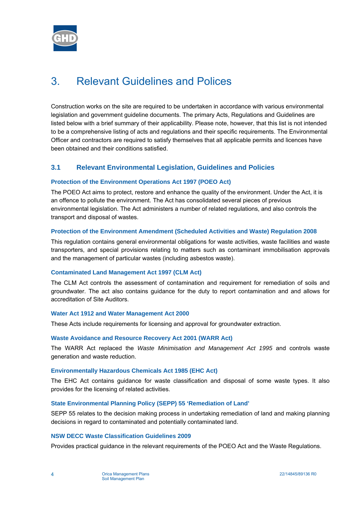<span id="page-7-0"></span>

# 3. Relevant Guidelines and Polices

Construction works on the site are required to be undertaken in accordance with various environmental legislation and government guideline documents. The primary Acts, Regulations and Guidelines are listed below with a brief summary of their applicability. Please note, however, that this list is not intended to be a comprehensive listing of acts and regulations and their specific requirements. The Environmental Officer and contractors are required to satisfy themselves that all applicable permits and licences have been obtained and their conditions satisfied.

# **3.1 Relevant Environmental Legislation, Guidelines and Policies**

# **Protection of the Environment Operations Act 1997 (POEO Act)**

The POEO Act aims to protect, restore and enhance the quality of the environment. Under the Act, it is an offence to pollute the environment. The Act has consolidated several pieces of previous environmental legislation. The Act administers a number of related regulations, and also controls the transport and disposal of wastes.

# **Protection of the Environment Amendment (Scheduled Activities and Waste) Regulation 2008**

This regulation contains general environmental obligations for waste activities, waste facilities and waste transporters, and special provisions relating to matters such as contaminant immobilisation approvals and the management of particular wastes (including asbestos waste).

# **Contaminated Land Management Act 1997 (CLM Act)**

The CLM Act controls the assessment of contamination and requirement for remediation of soils and groundwater. The act also contains guidance for the duty to report contamination and and allows for accreditation of Site Auditors.

#### **Water Act 1912 and Water Management Act 2000**

These Acts include requirements for licensing and approval for groundwater extraction.

#### **Waste Avoidance and Resource Recovery Act 2001 (WARR Act)**

The WARR Act replaced the *Waste Minimisation and Management Act 1995* and controls waste generation and waste reduction.

#### **Environmentally Hazardous Chemicals Act 1985 (EHC Act)**

The EHC Act contains guidance for waste classification and disposal of some waste types. It also provides for the licensing of related activities.

# **State Environmental Planning Policy (SEPP) 55 'Remediation of Land'**

SEPP 55 relates to the decision making process in undertaking remediation of land and making planning decisions in regard to contaminated and potentially contaminated land.

# **NSW DECC Waste Classification Guidelines 2009**

Provides practical guidance in the relevant requirements of the POEO Act and the Waste Regulations.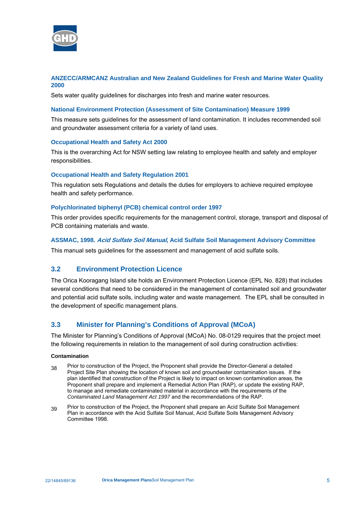<span id="page-8-0"></span>

# **ANZECC/ARMCANZ Australian and New Zealand Guidelines for Fresh and Marine Water Quality 2000**

Sets water quality guidelines for discharges into fresh and marine water resources.

#### **National Environment Protection (Assessment of Site Contamination) Measure 1999**

This measure sets guidelines for the assessment of land contamination. It includes recommended soil and groundwater assessment criteria for a variety of land uses.

#### **Occupational Health and Safety Act 2000**

This is the overarching Act for NSW setting law relating to employee health and safety and employer responsibilities.

#### **Occupational Health and Safety Regulation 2001**

This regulation sets Regulations and details the duties for employers to achieve required employee health and safety performance.

#### **Polychlorinated biphenyl (PCB) chemical control order 1997**

This order provides specific requirements for the management control, storage, transport and disposal of PCB containing materials and waste.

#### **ASSMAC, 1998. Acid Sulfate Soil Manual, Acid Sulfate Soil Management Advisory Committee**

This manual sets guidelines for the assessment and management of acid sulfate soils.

# **3.2 Environment Protection Licence**

The Orica Kooragang Island site holds an Environment Protection Licence (EPL No. 828) that includes several conditions that need to be considered in the management of contaminated soil and groundwater and potential acid sulfate soils, including water and waste management. The EPL shall be consulted in the development of specific management plans.

# **3.3 Minister for Planning's Conditions of Approval (MCoA)**

The Minister for Planning's Conditions of Approval (MCoA) No. 08-0129 requires that the project meet the following requirements in relation to the management of soil during construction activities:

#### **Contamination**

- 38 Prior to construction of the Project, the Proponent shall provide the Director-General a detailed Project Site Plan showing the location of known soil and groundwater contamination issues. If the plan identified that construction of the Project is likely to impact on known contamination areas, the Proponent shall prepare and implement a Remedial Action Plan (RAP), or update the existing RAP, to manage and remediate contaminated material in accordance with the requirements of the *Contaminated Land Management Act 1997* and the recommendations of the RAP.
- 39 Prior to construction of the Project, the Proponent shall prepare an Acid Sulfate Soil Management Plan in accordance with the Acid Sulfate Soil Manual, Acid Sulfate Soils Management Advisory Committee 1998.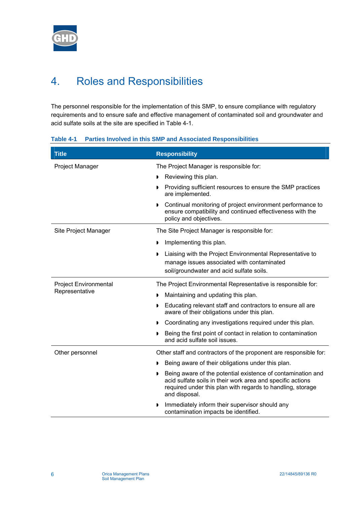<span id="page-9-0"></span>

# 4. Roles and Responsibilities

The personnel responsible for the implementation of this SMP, to ensure compliance with regulatory requirements and to ensure safe and effective management of contaminated soil and groundwater and acid sulfate soils at the site are specified in [Table 4-1.](#page-9-1)

# <span id="page-9-1"></span>**Table 4-1 Parties Involved in this SMP and Associated Responsibilities**

| <b>Title</b>                 | <b>Responsibility</b>                                                                                                                                                                                    |
|------------------------------|----------------------------------------------------------------------------------------------------------------------------------------------------------------------------------------------------------|
| Project Manager              | The Project Manager is responsible for:                                                                                                                                                                  |
|                              | Reviewing this plan.                                                                                                                                                                                     |
|                              | Providing sufficient resources to ensure the SMP practices<br>are implemented.                                                                                                                           |
|                              | Continual monitoring of project environment performance to<br>Þ<br>ensure compatibility and continued effectiveness with the<br>policy and objectives.                                                   |
| Site Project Manager         | The Site Project Manager is responsible for:                                                                                                                                                             |
|                              | Implementing this plan.                                                                                                                                                                                  |
|                              | Liaising with the Project Environmental Representative to<br>D<br>manage issues associated with contaminated<br>soil/groundwater and acid sulfate soils.                                                 |
| <b>Project Environmental</b> | The Project Environmental Representative is responsible for:                                                                                                                                             |
| Representative               | Maintaining and updating this plan.                                                                                                                                                                      |
|                              | Educating relevant staff and contractors to ensure all are<br>aware of their obligations under this plan.                                                                                                |
|                              | Coordinating any investigations required under this plan.                                                                                                                                                |
|                              | Being the first point of contact in relation to contamination<br>and acid sulfate soil issues.                                                                                                           |
| Other personnel              | Other staff and contractors of the proponent are responsible for:                                                                                                                                        |
|                              | Being aware of their obligations under this plan.                                                                                                                                                        |
|                              | Being aware of the potential existence of contamination and<br>acid sulfate soils in their work area and specific actions<br>required under this plan with regards to handling, storage<br>and disposal. |
|                              | Immediately inform their supervisor should any<br>,<br>contamination impacts be identified.                                                                                                              |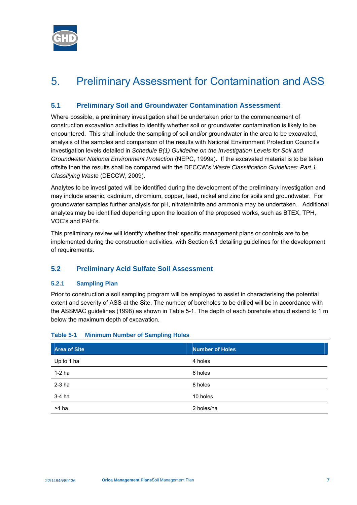<span id="page-10-2"></span><span id="page-10-0"></span>

# 5. Preliminary Assessment for Contamination and ASS

# **5.1 Preliminary Soil and Groundwater Contamination Assessment**

Where possible, a preliminary investigation shall be undertaken prior to the commencement of construction excavation activities to identify whether soil or groundwater contamination is likely to be encountered. This shall include the sampling of soil and/or groundwater in the area to be excavated, analysis of the samples and comparison of the results with National Environment Protection Council's investigation levels detailed in *Schedule B(1) Guildeline on the Investigation Levels for Soil and Groundwater National Environment Protection* (NEPC, 1999a). If the excavated material is to be taken offsite then the results shall be compared with the DECCW's *Waste Classification Guidelines: Part 1 Classifying Waste* (DECCW, 2009).

Analytes to be investigated will be identified during the development of the preliminary investigation and may include arsenic, cadmium, chromium, copper, lead, nickel and zinc for soils and groundwater. For groundwater samples further analysis for pH, nitrate/nitrite and ammonia may be undertaken. Additional analytes may be identified depending upon the location of the proposed works, such as BTEX, TPH, VOC's and PAH's.

This preliminary review will identify whether their specific management plans or controls are to be implemented during the construction activities, with Section [6.1](#page-12-1) detailing guidelines for the development of requirements.

# **5.2 Preliminary Acid Sulfate Soil Assessment**

# **5.2.1 Sampling Plan**

Prior to construction a soil sampling program will be employed to assist in characterising the potential extent and severity of ASS at the Site. The number of boreholes to be drilled will be in accordance with the ASSMAC guidelines (1998) as shown in [Table 5-1](#page-10-1). The depth of each borehole should extend to 1 m below the maximum depth of excavation.

| <b>Area of Site</b> | <b>Number of Holes</b> |
|---------------------|------------------------|
| Up to 1 ha          | 4 holes                |
| $1-2$ ha            | 6 holes                |
| $2-3$ ha            | 8 holes                |
| 3-4 ha              | 10 holes               |
| >4 ha               | 2 holes/ha             |

# <span id="page-10-1"></span>**Table 5-1 Minimum Number of Sampling Holes**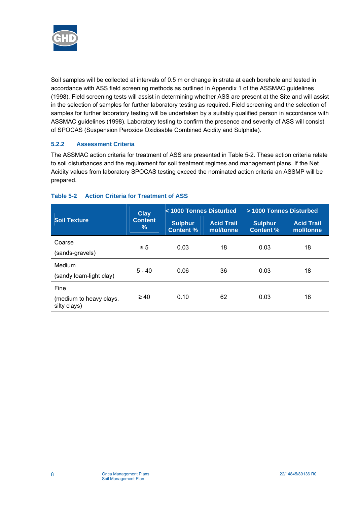<span id="page-11-0"></span>

Soil samples will be collected at intervals of 0.5 m or change in strata at each borehole and tested in accordance with ASS field screening methods as outlined in Appendix 1 of the ASSMAC guidelines (1998). Field screening tests will assist in determining whether ASS are present at the Site and will assist in the selection of samples for further laboratory testing as required. Field screening and the selection of samples for further laboratory testing will be undertaken by a suitably qualified person in accordance with ASSMAC guidelines (1998). Laboratory testing to confirm the presence and severity of ASS will consist of SPOCAS (Suspension Peroxide Oxidisable Combined Acidity and Sulphide).

# **5.2.2 Assessment Criteria**

The ASSMAC action criteria for treatment of ASS are presented in [Table 5-2](#page-11-1). These action criteria relate to soil disturbances and the requirement for soil treatment regimes and management plans. If the Net Acidity values from laboratory SPOCAS testing exceed the nominated action criteria an ASSMP will be prepared.

|                                                 | <b>Clay</b><br><b>Content</b><br>$\frac{9}{6}$ | < 1000 Tonnes Disturbed            |                                | > 1000 Tonnes Disturbed            |                                |
|-------------------------------------------------|------------------------------------------------|------------------------------------|--------------------------------|------------------------------------|--------------------------------|
| <b>Soil Texture</b>                             |                                                | <b>Sulphur</b><br><b>Content %</b> | <b>Acid Trail</b><br>mol/tonne | <b>Sulphur</b><br><b>Content %</b> | <b>Acid Trail</b><br>mol/tonne |
| Coarse<br>(sands-gravels)                       | $\leq 5$                                       | 0.03                               | 18                             | 0.03                               | 18                             |
| Medium<br>(sandy loam-light clay)               | $5 - 40$                                       | 0.06                               | 36                             | 0.03                               | 18                             |
| Fine<br>(medium to heavy clays,<br>silty clays) | $\geq 40$                                      | 0.10                               | 62                             | 0.03                               | 18                             |

# <span id="page-11-1"></span>**Table 5-2 Action Criteria for Treatment of ASS**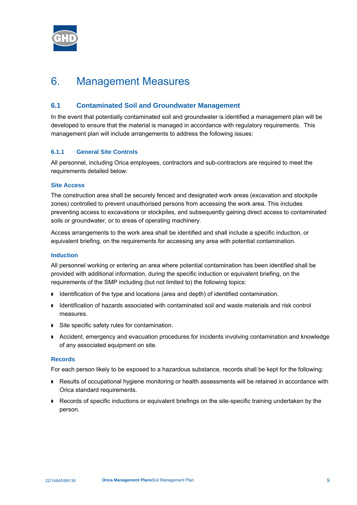<span id="page-12-2"></span><span id="page-12-0"></span>

# 6. Management Measures

# **6.1 Contaminated Soil and Groundwater Management**

<span id="page-12-1"></span>In the event that potentially contaminated soil and groundwater is identified a management plan will be developed to ensure that the material is managed in accordance with regulatory requirements. This management plan will include arrangements to address the following issues:

# **6.1.1 General Site Controls**

All personnel, including Orica employees, contractors and sub-contractors are required to meet the requirements detailed below:

# **Site Access**

The construction area shall be securely fenced and designated work areas (excavation and stockpile zones) controlled to prevent unauthorised persons from accessing the work area. This includes preventing access to excavations or stockpiles, and subsequently gaining direct access to contaminated soils or groundwater, or to areas of operating machinery.

Access arrangements to the work area shall be identified and shall include a specific induction, or equivalent briefing, on the requirements for accessing any area with potential contamination.

# **Induction**

All personnel working or entering an area where potential contamination has been identified shall be provided with additional information, during the specific induction or equivalent briefing, on the requirements of the SMP including (but not limited to) the following topics:

- Identification of the type and locations (area and depth) of identified contamination.
- Identification of hazards associated with contaminated soil and waste materials and risk control measures.
- Site specific safety rules for contamination.
- Accident, emergency and evacuation procedures for incidents involving contamination and knowledge of any associated equipment on site.

# **Records**

For each person likely to be exposed to a hazardous substance, records shall be kept for the following:

- **Results of occupational hygiene monitoring or health assessments will be retained in accordance with** Orica standard requirements.
- **Records of specific inductions or equivalent briefings on the site-specific training undertaken by the** person.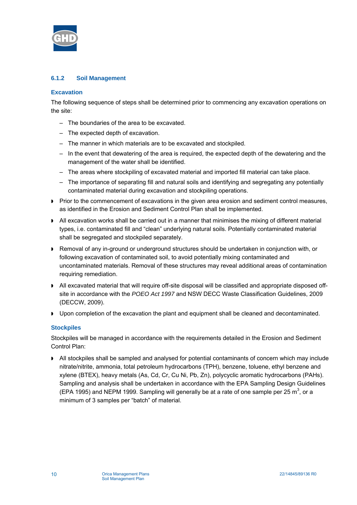

# **6.1.2 Soil Management**

# **Excavation**

The following sequence of steps shall be determined prior to commencing any excavation operations on the site:

- The boundaries of the area to be excavated.
- The expected depth of excavation.
- The manner in which materials are to be excavated and stockpiled.
- In the event that dewatering of the area is required, the expected depth of the dewatering and the management of the water shall be identified.
- The areas where stockpiling of excavated material and imported fill material can take place.
- The importance of separating fill and natural soils and identifying and segregating any potentially contaminated material during excavation and stockpiling operations.
- **Prior to the commencement of excavations in the given area erosion and sediment control measures.** as identified in the Erosion and Sediment Control Plan shall be implemented.
- All excavation works shall be carried out in a manner that minimises the mixing of different material types, i.e. contaminated fill and "clean" underlying natural soils. Potentially contaminated material shall be segregated and stockpiled separately.
- Removal of any in-ground or underground structures should be undertaken in conjunction with, or following excavation of contaminated soil, to avoid potentially mixing contaminated and uncontaminated materials. Removal of these structures may reveal additional areas of contamination requiring remediation.
- All excavated material that will require off-site disposal will be classified and appropriate disposed offsite in accordance with the *POEO Act 1997* and NSW DECC Waste Classification Guidelines, 2009 (DECCW, 2009).
- Upon completion of the excavation the plant and equipment shall be cleaned and decontaminated.

# **Stockpiles**

Stockpiles will be managed in accordance with the requirements detailed in the Erosion and Sediment Control Plan:

 All stockpiles shall be sampled and analysed for potential contaminants of concern which may include nitrate/nitrite, ammonia, total petroleum hydrocarbons (TPH), benzene, toluene, ethyl benzene and xylene (BTEX), heavy metals (As, Cd, Cr, Cu Ni, Pb, Zn), polycyclic aromatic hydrocarbons (PAHs). Sampling and analysis shall be undertaken in accordance with the EPA Sampling Design Guidelines (EPA 1995) and NEPM 1999. Sampling will generally be at a rate of one sample per 25  $m^3$ , or a minimum of 3 samples per "batch" of material.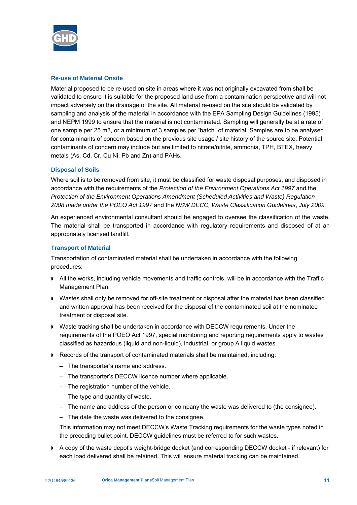

#### **Re-use of Material Onsite**

Material proposed to be re-used on site in areas where it was not originally excavated from shall be validated to ensure it is suitable for the proposed land use from a contamination perspective and will not impact adversely on the drainage of the site. All material re-used on the site should be validated by sampling and analysis of the material in accordance with the EPA Sampling Design Guidelines (1995) and NEPM 1999 to ensure that the material is not contaminated. Sampling will generally be at a rate of one sample per 25 m3, or a minimum of 3 samples per "batch" of material. Samples are to be analysed for contaminants of concern based on the previous site usage / site history of the source site. Potential contaminants of concern may include but are limited to nitrate/nitrite, ammonia, TPH, BTEX, heavy metals (As, Cd, Cr, Cu Ni, Pb and Zn) and PAHs.

# **Disposal of Soils**

Where soil is to be removed from site, it must be classified for waste disposal purposes, and disposed in accordance with the requirements of the *Protection of the Environment Operations Act 1997* and the *Protection of the Environment Operations Amendment (Scheduled Activities and Waste) Regulation 2008 made under the POEO Act 1997* and the *NSW DECC, Waste Classification Guidelines*, *July 2009.* 

An experienced environmental consultant should be engaged to oversee the classification of the waste. The material shall be transported in accordance with regulatory requirements and disposed of at an appropriately licensed landfill.

#### **Transport of Material**

Transportation of contaminated material shall be undertaken in accordance with the following procedures:

- All the works, including vehicle movements and traffic controls, will be in accordance with the Traffic Management Plan.
- Wastes shall only be removed for off-site treatment or disposal after the material has been classified and written approval has been received for the disposal of the contaminated soil at the nominated treatment or disposal site.
- Waste tracking shall be undertaken in accordance with DECCW requirements. Under the requirements of the POEO Act 1997, special monitoring and reporting requirements apply to wastes classified as hazardous (liquid and non-liquid), industrial, or group A liquid wastes.
- Records of the transport of contaminated materials shall be maintained, including:
	- The transporter's name and address.
	- The transporter's DECCW licence number where applicable.
	- The registration number of the vehicle.
	- The type and quantity of waste.
	- The name and address of the person or company the waste was delivered to (the consignee).
	- The date the waste was delivered to the consignee.

This information may not meet DECCW's Waste Tracking requirements for the waste types noted in the preceding bullet point. DECCW guidelines must be referred to for such wastes.

A copy of the waste depot's weight-bridge docket (and corresponding DECCW docket - if relevant) for each load delivered shall be retained. This will ensure material tracking can be maintained.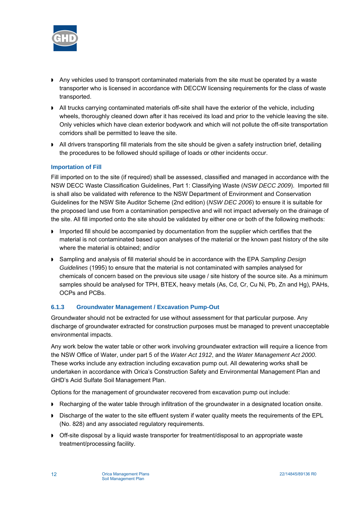

- Any vehicles used to transport contaminated materials from the site must be operated by a waste transporter who is licensed in accordance with DECCW licensing requirements for the class of waste transported.
- All trucks carrying contaminated materials off-site shall have the exterior of the vehicle, including wheels, thoroughly cleaned down after it has received its load and prior to the vehicle leaving the site. Only vehicles which have clean exterior bodywork and which will not pollute the off-site transportation corridors shall be permitted to leave the site.
- All drivers transporting fill materials from the site should be given a safety instruction brief, detailing the procedures to be followed should spillage of loads or other incidents occur.

# **Importation of Fill**

Fill imported on to the site (if required) shall be assessed, classified and managed in accordance with the NSW DECC Waste Classification Guidelines, Part 1: Classifying Waste (*NSW DECC 2009*). Imported fill is shall also be validated with reference to the NSW Department of Environment and Conservation Guidelines for the NSW Site Auditor Scheme (2nd edition) (*NSW DEC 2006*) to ensure it is suitable for the proposed land use from a contamination perspective and will not impact adversely on the drainage of the site. All fill imported onto the site should be validated by either one or both of the following methods:

- **Imported fill should be accompanied by documentation from the supplier which certifies that the** material is not contaminated based upon analyses of the material or the known past history of the site where the material is obtained; and/or
- Sampling and analysis of fill material should be in accordance with the EPA *Sampling Design Guidelines* (1995) to ensure that the material is not contaminated with samples analysed for chemicals of concern based on the previous site usage / site history of the source site. As a minimum samples should be analysed for TPH, BTEX, heavy metals (As, Cd, Cr, Cu Ni, Pb, Zn and Hg), PAHs, OCPs and PCBs.

# **6.1.3 Groundwater Management / Excavation Pump-Out**

Groundwater should not be extracted for use without assessment for that particular purpose. Any discharge of groundwater extracted for construction purposes must be managed to prevent unacceptable environmental impacts.

Any work below the water table or other work involving groundwater extraction will require a licence from the NSW Office of Water, under part 5 of the *Water Act 1912*, and the *Water Management Act 2000*. These works include any extraction including excavation pump out. All dewatering works shall be undertaken in accordance with Orica's Construction Safety and Environmental Management Plan and GHD's Acid Sulfate Soil Management Plan.

Options for the management of groundwater recovered from excavation pump out include:

- Recharging of the water table through infiltration of the groundwater in a designated location onsite.
- Discharge of the water to the site effluent system if water quality meets the requirements of the EPL (No. 828) and any associated regulatory requirements.
- Off-site disposal by a liquid waste transporter for treatment/disposal to an appropriate waste treatment/processing facility.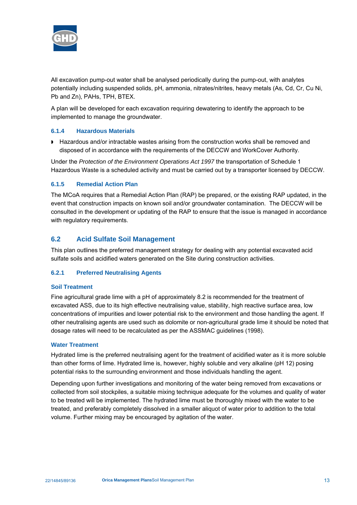<span id="page-16-1"></span><span id="page-16-0"></span>

All excavation pump-out water shall be analysed periodically during the pump-out, with analytes potentially including suspended solids, pH, ammonia, nitrates/nitrites, heavy metals (As, Cd, Cr, Cu Ni, Pb and Zn), PAHs, TPH, BTEX.

A plan will be developed for each excavation requiring dewatering to identify the approach to be implemented to manage the groundwater.

# **6.1.4 Hazardous Materials**

■ Hazardous and/or intractable wastes arising from the construction works shall be removed and disposed of in accordance with the requirements of the DECCW and WorkCover Authority.

Under the *Protection of the Environment Operations Act 1997* the transportation of Schedule 1 Hazardous Waste is a scheduled activity and must be carried out by a transporter licensed by DECCW.

# **6.1.5 Remedial Action Plan**

The MCoA requires that a Remedial Action Plan (RAP) be prepared, or the existing RAP updated, in the event that construction impacts on known soil and/or groundwater contamination. The DECCW will be consulted in the development or updating of the RAP to ensure that the issue is managed in accordance with regulatory requirements.

# **6.2 Acid Sulfate Soil Management**

This plan outlines the preferred management strategy for dealing with any potential excavated acid sulfate soils and acidified waters generated on the Site during construction activities.

# **6.2.1 Preferred Neutralising Agents**

# **Soil Treatment**

Fine agricultural grade lime with a pH of approximately 8.2 is recommended for the treatment of excavated ASS, due to its high effective neutralising value, stability, high reactive surface area, low concentrations of impurities and lower potential risk to the environment and those handling the agent. If other neutralising agents are used such as dolomite or non-agricultural grade lime it should be noted that dosage rates will need to be recalculated as per the ASSMAC guidelines (1998).

# **Water Treatment**

Hydrated lime is the preferred neutralising agent for the treatment of acidified water as it is more soluble than other forms of lime. Hydrated lime is, however, highly soluble and very alkaline (pH 12) posing potential risks to the surrounding environment and those individuals handling the agent.

Depending upon further investigations and monitoring of the water being removed from excavations or collected from soil stockpiles, a suitable mixing technique adequate for the volumes and quality of water to be treated will be implemented. The hydrated lime must be thoroughly mixed with the water to be treated, and preferably completely dissolved in a smaller aliquot of water prior to addition to the total volume. Further mixing may be encouraged by agitation of the water.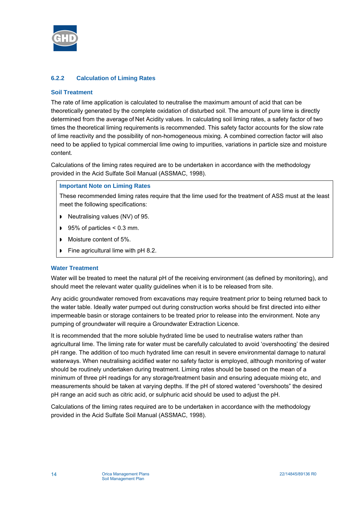

# **6.2.2 Calculation of Liming Rates**

# **Soil Treatment**

The rate of lime application is calculated to neutralise the maximum amount of acid that can be theoretically generated by the complete oxidation of disturbed soil. The amount of pure lime is directly determined from the average of Net Acidity values. In calculating soil liming rates, a safety factor of two times the theoretical liming requirements is recommended. This safety factor accounts for the slow rate of lime reactivity and the possibility of non-homogeneous mixing. A combined correction factor will also need to be applied to typical commercial lime owing to impurities, variations in particle size and moisture content.

Calculations of the liming rates required are to be undertaken in accordance with the methodology provided in the Acid Sulfate Soil Manual (ASSMAC, 1998).

# **Important Note on Liming Rates**

These recommended liming rates require that the lime used for the treatment of ASS must at the least meet the following specifications:

- Neutralising values (NV) of 95.
- $\blacktriangleright$  95% of particles < 0.3 mm.
- Moisture content of 5%.
- Fine agricultural lime with pH 8.2.

# **Water Treatment**

Water will be treated to meet the natural pH of the receiving environment (as defined by monitoring), and should meet the relevant water quality guidelines when it is to be released from site.

Any acidic groundwater removed from excavations may require treatment prior to being returned back to the water table. Ideally water pumped out during construction works should be first directed into either impermeable basin or storage containers to be treated prior to release into the environment. Note any pumping of groundwater will require a Groundwater Extraction Licence.

It is recommended that the more soluble hydrated lime be used to neutralise waters rather than agricultural lime. The liming rate for water must be carefully calculated to avoid 'overshooting' the desired pH range. The addition of too much hydrated lime can result in severe environmental damage to natural waterways. When neutralising acidified water no safety factor is employed, although monitoring of water should be routinely undertaken during treatment. Liming rates should be based on the mean of a minimum of three pH readings for any storage/treatment basin and ensuring adequate mixing etc, and measurements should be taken at varying depths. If the pH of stored watered "overshoots" the desired pH range an acid such as citric acid, or sulphuric acid should be used to adjust the pH.

Calculations of the liming rates required are to be undertaken in accordance with the methodology provided in the Acid Sulfate Soil Manual (ASSMAC, 1998).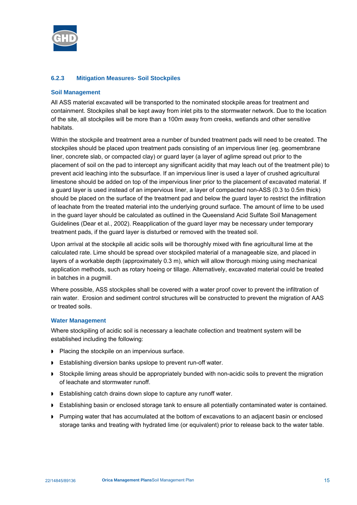

# **6.2.3 Mitigation Measures- Soil Stockpiles**

# **Soil Management**

All ASS material excavated will be transported to the nominated stockpile areas for treatment and containment. Stockpiles shall be kept away from inlet pits to the stormwater network. Due to the location of the site, all stockpiles will be more than a 100m away from creeks, wetlands and other sensitive habitats.

Within the stockpile and treatment area a number of bunded treatment pads will need to be created. The stockpiles should be placed upon treatment pads consisting of an impervious liner (eg. geomembrane liner, concrete slab, or compacted clay) or guard layer (a layer of aglime spread out prior to the placement of soil on the pad to intercept any significant acidity that may leach out of the treatment pile) to prevent acid leaching into the subsurface. If an impervious liner is used a layer of crushed agricultural limestone should be added on top of the impervious liner prior to the placement of excavated material. If a guard layer is used instead of an impervious liner, a layer of compacted non-ASS (0.3 to 0.5m thick) should be placed on the surface of the treatment pad and below the guard layer to restrict the infiltration of leachate from the treated material into the underlying ground surface. The amount of lime to be used in the guard layer should be calculated as outlined in the Queensland Acid Sulfate Soil Management Guidelines (Dear et al., 2002). Reapplication of the guard layer may be necessary under temporary treatment pads, if the guard layer is disturbed or removed with the treated soil.

Upon arrival at the stockpile all acidic soils will be thoroughly mixed with fine agricultural lime at the calculated rate. Lime should be spread over stockpiled material of a manageable size, and placed in layers of a workable depth (approximately 0.3 m), which will allow thorough mixing using mechanical application methods, such as rotary hoeing or tillage. Alternatively, excavated material could be treated in batches in a pugmill.

Where possible, ASS stockpiles shall be covered with a water proof cover to prevent the infiltration of rain water. Erosion and sediment control structures will be constructed to prevent the migration of AAS or treated soils.

# **Water Management**

Where stockpiling of acidic soil is necessary a leachate collection and treatment system will be established including the following:

- Placing the stockpile on an impervious surface.
- **Establishing diversion banks upslope to prevent run-off water.**
- **Stockpile liming areas should be appropriately bunded with non-acidic soils to prevent the migration** of leachate and stormwater runoff.
- **Establishing catch drains down slope to capture any runoff water.**
- **Establishing basin or enclosed storage tank to ensure all potentially contaminated water is contained.**
- **Pumping water that has accumulated at the bottom of excavations to an adjacent basin or enclosed** storage tanks and treating with hydrated lime (or equivalent) prior to release back to the water table.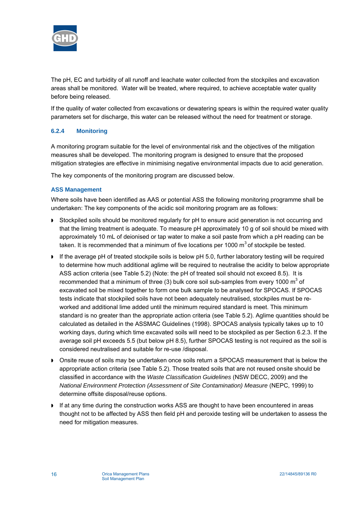

The pH, EC and turbidity of all runoff and leachate water collected from the stockpiles and excavation areas shall be monitored. Water will be treated, where required, to achieve acceptable water quality before being released.

If the quality of water collected from excavations or dewatering spears is within the required water quality parameters set for discharge, this water can be released without the need for treatment or storage.

# **6.2.4 Monitoring**

A monitoring program suitable for the level of environmental risk and the objectives of the mitigation measures shall be developed. The monitoring program is designed to ensure that the proposed mitigation strategies are effective in minimising negative environmental impacts due to acid generation.

The key components of the monitoring program are discussed below.

# **ASS Management**

Where soils have been identified as AAS or potential ASS the following monitoring programme shall be undertaken: The key components of the acidic soil monitoring program are as follows:

- Stockpiled soils should be monitored regularly for pH to ensure acid generation is not occurring and that the liming treatment is adequate. To measure pH approximately 10 g of soil should be mixed with approximately 10 mL of deionised or tap water to make a soil paste from which a pH reading can be taken. It is recommended that a minimum of five locations per 1000  $\text{m}^3$  of stockpile be tested.
- If the average pH of treated stockpile soils is below pH 5.0, further laboratory testing will be required to determine how much additional aglime will be required to neutralise the acidity to below appropriate ASS action criteria (see Table 5.2) (Note: the pH of treated soil should not exceed 8.5). It is recommended that a minimum of three (3) bulk core soil sub-samples from every 1000  $m^3$  of excavated soil be mixed together to form one bulk sample to be analysed for SPOCAS. If SPOCAS tests indicate that stockpiled soils have not been adequately neutralised, stockpiles must be reworked and additional lime added until the minimum required standard is meet. This minimum standard is no greater than the appropriate action criteria (see Table 5.2). Aglime quantities should be calculated as detailed in the ASSMAC Guidelines (1998). SPOCAS analysis typically takes up to 10 working days, during which time excavated soils will need to be stockpiled as per Section 6.2.3. If the average soil pH exceeds 5.5 (but below pH 8.5), further SPOCAS testing is not required as the soil is considered neutralised and suitable for re-use /disposal.
- Onsite reuse of soils may be undertaken once soils return a SPOCAS measurement that is below the appropriate action criteria (see Table 5.2). Those treated soils that are not reused onsite should be classified in accordance with the *Waste Classification Guidelines* (NSW DECC, 2009) and the *National Environment Protection (Assessment of Site Contamination) Measure* (NEPC, 1999) to determine offsite disposal/reuse options.
- If at any time during the construction works ASS are thought to have been encountered in areas thought not to be affected by ASS then field pH and peroxide testing will be undertaken to assess the need for mitigation measures.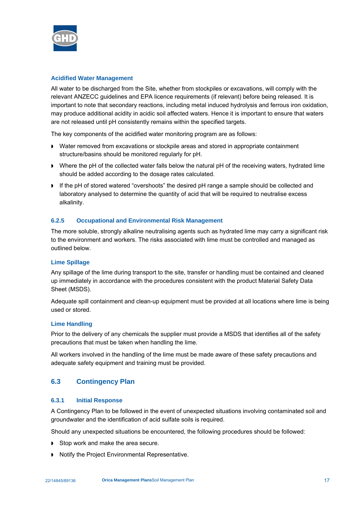<span id="page-20-0"></span>

# **Acidified Water Management**

All water to be discharged from the Site, whether from stockpiles or excavations, will comply with the relevant ANZECC guidelines and EPA licence requirements (if relevant) before being released. It is important to note that secondary reactions, including metal induced hydrolysis and ferrous iron oxidation, may produce additional acidity in acidic soil affected waters. Hence it is important to ensure that waters are not released until pH consistently remains within the specified targets.

The key components of the acidified water monitoring program are as follows:

- Water removed from excavations or stockpile areas and stored in appropriate containment structure/basins should be monitored regularly for pH.
- Where the pH of the collected water falls below the natural pH of the receiving waters, hydrated lime should be added according to the dosage rates calculated.
- If the pH of stored watered "overshoots" the desired pH range a sample should be collected and laboratory analysed to determine the quantity of acid that will be required to neutralise excess alkalinity.

# **6.2.5 Occupational and Environmental Risk Management**

The more soluble, strongly alkaline neutralising agents such as hydrated lime may carry a significant risk to the environment and workers. The risks associated with lime must be controlled and managed as outlined below.

# **Lime Spillage**

Any spillage of the lime during transport to the site, transfer or handling must be contained and cleaned up immediately in accordance with the procedures consistent with the product Material Safety Data Sheet (MSDS).

Adequate spill containment and clean-up equipment must be provided at all locations where lime is being used or stored.

# **Lime Handling**

Prior to the delivery of any chemicals the supplier must provide a MSDS that identifies all of the safety precautions that must be taken when handling the lime.

All workers involved in the handling of the lime must be made aware of these safety precautions and adequate safety equipment and training must be provided.

# **6.3 Contingency Plan**

# **6.3.1 Initial Response**

A Contingency Plan to be followed in the event of unexpected situations involving contaminated soil and groundwater and the identification of acid sulfate soils is required.

Should any unexpected situations be encountered, the following procedures should be followed:

- Stop work and make the area secure.
- ▶ Notify the Project Environmental Representative.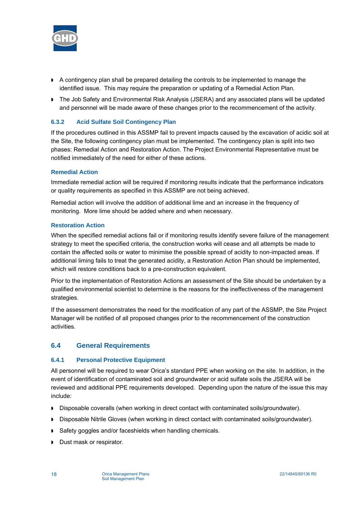<span id="page-21-1"></span><span id="page-21-0"></span>

- A contingency plan shall be prepared detailing the controls to be implemented to manage the identified issue. This may require the preparation or updating of a Remedial Action Plan.
- The Job Safety and Environmental Risk Analysis (JSERA) and any associated plans will be updated and personnel will be made aware of these changes prior to the recommencement of the activity.

# **6.3.2 Acid Sulfate Soil Contingency Plan**

If the procedures outlined in this ASSMP fail to prevent impacts caused by the excavation of acidic soil at the Site, the following contingency plan must be implemented. The contingency plan is split into two phases: Remedial Action and Restoration Action. The Project Environmental Representative must be notified immediately of the need for either of these actions.

# **Remedial Action**

Immediate remedial action will be required if monitoring results indicate that the performance indicators or quality requirements as specified in this ASSMP are not being achieved.

Remedial action will involve the addition of additional lime and an increase in the frequency of monitoring. More lime should be added where and when necessary.

#### **Restoration Action**

When the specified remedial actions fail or if monitoring results identify severe failure of the management strategy to meet the specified criteria, the construction works will cease and all attempts be made to contain the affected soils or water to minimise the possible spread of acidity to non-impacted areas. If additional liming fails to treat the generated acidity, a Restoration Action Plan should be implemented, which will restore conditions back to a pre-construction equivalent.

Prior to the implementation of Restoration Actions an assessment of the Site should be undertaken by a qualified environmental scientist to determine is the reasons for the ineffectiveness of the management strategies.

If the assessment demonstrates the need for the modification of any part of the ASSMP, the Site Project Manager will be notified of all proposed changes prior to the recommencement of the construction activities.

# **6.4 General Requirements**

# **6.4.1 Personal Protective Equipment**

All personnel will be required to wear Orica's standard PPE when working on the site. In addition, in the event of identification of contaminated soil and groundwater or acid sulfate soils the JSERA will be reviewed and additional PPE requirements developed. Depending upon the nature of the issue this may include:

- Disposable coveralls (when working in direct contact with contaminated soils/groundwater).
- Disposable Nitrile Gloves (when working in direct contact with contaminated soils/groundwater).
- Safety goggles and/or faceshields when handling chemicals.
- Dust mask or respirator.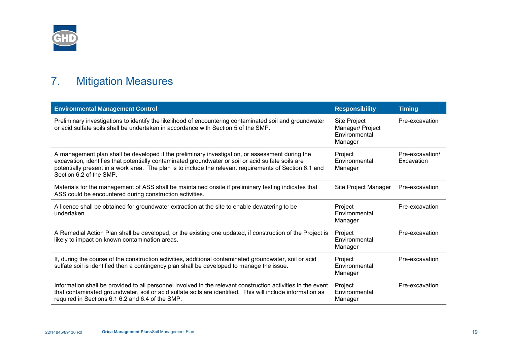

# 7. Mitigation Measures

<span id="page-22-0"></span>

| <b>Environmental Management Control</b>                                                                                                                                                                                                                                                                                                     | <b>Responsibility</b>                                               | <b>Timing</b>                 |
|---------------------------------------------------------------------------------------------------------------------------------------------------------------------------------------------------------------------------------------------------------------------------------------------------------------------------------------------|---------------------------------------------------------------------|-------------------------------|
| Preliminary investigations to identify the likelihood of encountering contaminated soil and groundwater<br>or acid sulfate soils shall be undertaken in accordance with Section 5 of the SMP.                                                                                                                                               | <b>Site Project</b><br>Manager/ Project<br>Environmental<br>Manager | Pre-excavation                |
| A management plan shall be developed if the preliminary investigation, or assessment during the<br>excavation, identifies that potentially contaminated groundwater or soil or acid sulfate soils are<br>potentially present in a work area. The plan is to include the relevant requirements of Section 6.1 and<br>Section 6.2 of the SMP. | Project<br>Environmental<br>Manager                                 | Pre-excavation/<br>Excavation |
| Materials for the management of ASS shall be maintained onsite if preliminary testing indicates that<br>ASS could be encountered during construction activities.                                                                                                                                                                            | Site Project Manager                                                | Pre-excavation                |
| A licence shall be obtained for groundwater extraction at the site to enable dewatering to be<br>undertaken.                                                                                                                                                                                                                                | Project<br>Environmental<br>Manager                                 | Pre-excavation                |
| A Remedial Action Plan shall be developed, or the existing one updated, if construction of the Project is<br>likely to impact on known contamination areas.                                                                                                                                                                                 | Project<br>Environmental<br>Manager                                 | Pre-excavation                |
| If, during the course of the construction activities, additional contaminated groundwater, soil or acid<br>sulfate soil is identified then a contingency plan shall be developed to manage the issue.                                                                                                                                       | Project<br>Environmental<br>Manager                                 | Pre-excavation                |
| Information shall be provided to all personnel involved in the relevant construction activities in the event<br>that contaminated groundwater, soil or acid sulfate soils are identified. This will include information as<br>required in Sections 6.1 6.2 and 6.4 of the SMP.                                                              | Project<br>Environmental<br>Manager                                 | Pre-excavation                |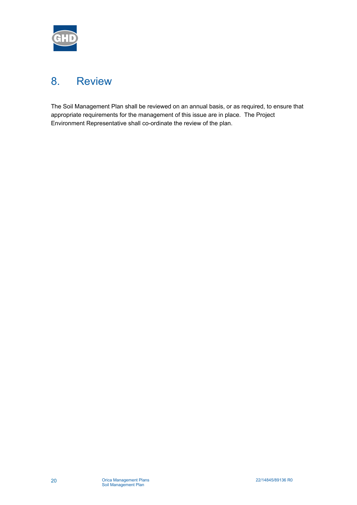<span id="page-23-0"></span>

# 8. Review

The Soil Management Plan shall be reviewed on an annual basis, or as required, to ensure that appropriate requirements for the management of this issue are in place. The Project Environment Representative shall co-ordinate the review of the plan.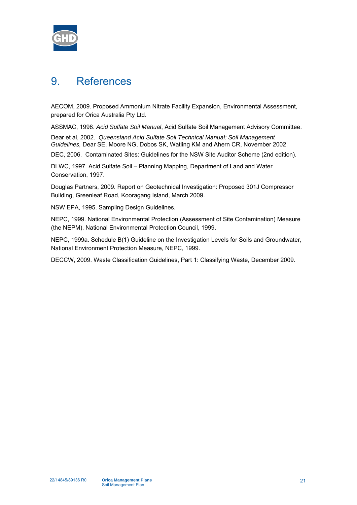<span id="page-24-0"></span>

# 9. References

AECOM, 2009. Proposed Ammonium Nitrate Facility Expansion, Environmental Assessment, prepared for Orica Australia Pty Ltd.

ASSMAC, 1998. *Acid Sulfate Soil Manual*, Acid Sulfate Soil Management Advisory Committee.

Dear et al, 2002. *Queensland Acid Sulfate Soil Technical Manual: Soil Management Guidelines,* Dear SE, Moore NG, Dobos SK, Watling KM and Ahern CR, November 2002.

DEC, 2006. Contaminated Sites: Guidelines for the NSW Site Auditor Scheme (2nd edition).

DLWC, 1997. Acid Sulfate Soil – Planning Mapping, Department of Land and Water Conservation, 1997.

Douglas Partners, 2009. Report on Geotechnical Investigation: Proposed 301J Compressor Building, Greenleaf Road, Kooragang Island, March 2009.

NSW EPA, 1995. Sampling Design Guidelines.

NEPC, 1999. National Environmental Protection (Assessment of Site Contamination) Measure (the NEPM), National Environmental Protection Council, 1999.

NEPC, 1999a. Schedule B(1) Guideline on the Investigation Levels for Soils and Groundwater, National Environment Protection Measure, NEPC, 1999.

DECCW, 2009. Waste Classification Guidelines, Part 1: Classifying Waste, December 2009.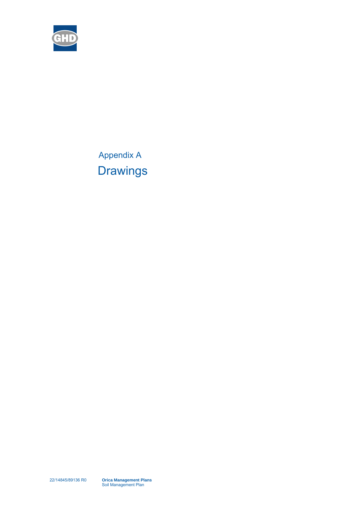

<span id="page-25-0"></span>Appendix A **Drawings**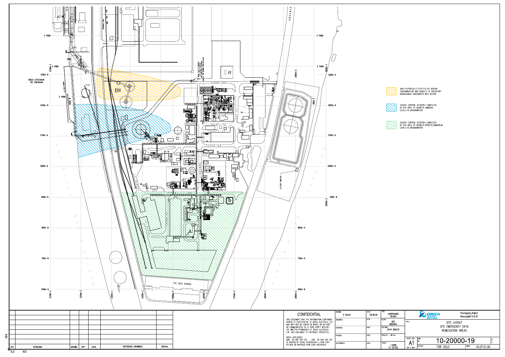



AREA POTENTIALLY EFFECTED BY ARSENIC<br>CONTAMINATION AND SUBJECT TO VOLUNTARY<br>MANAGEMENT AGREEMENTS WITH DECCW



SOURCE CONTROL ACTIVITIES COMPLETED<br>IN THIS AREA TO ADDRESS AMMONIA<br>LEVELS IN GROUNDWATER



SOURCE CONTROL ACTIVITIES COMPLETED<br>IN THIS AREA TO ADDRESS NITRATE/AMMONIUM<br>LEVELS IN GROUNDWATER

| <b>SITE</b><br>KOORAGANG<br><b>ISLAND</b>                        |                                                                | <b>ORICA</b><br>MINING<br><b>SERVICES</b> |             | Kooragang Island<br>Newcastle N S W |             |  |
|------------------------------------------------------------------|----------------------------------------------------------------|-------------------------------------------|-------------|-------------------------------------|-------------|--|
| PLANT<br><b>SITE</b><br><b>GENERAL</b><br>SECTION<br>DATA SHEETS | nne<br>SITE LAYOUT<br>SITE EMERGENCY DATA<br>REMEDIATION AREAS |                                           |             |                                     |             |  |
| PROJECT - WO No                                                  |                                                                |                                           |             |                                     |             |  |
| SCALE                                                            | SHEET SIZE                                                     | <b>DWG</b><br>l No                        | 10-20000-19 |                                     |             |  |
| 1:2000<br>1:1 (PLOT)                                             | 841 x 594                                                      | <b>STATUS</b><br><b>FOR ISSUE</b>         |             | INDEX                               | 10.07.01.00 |  |